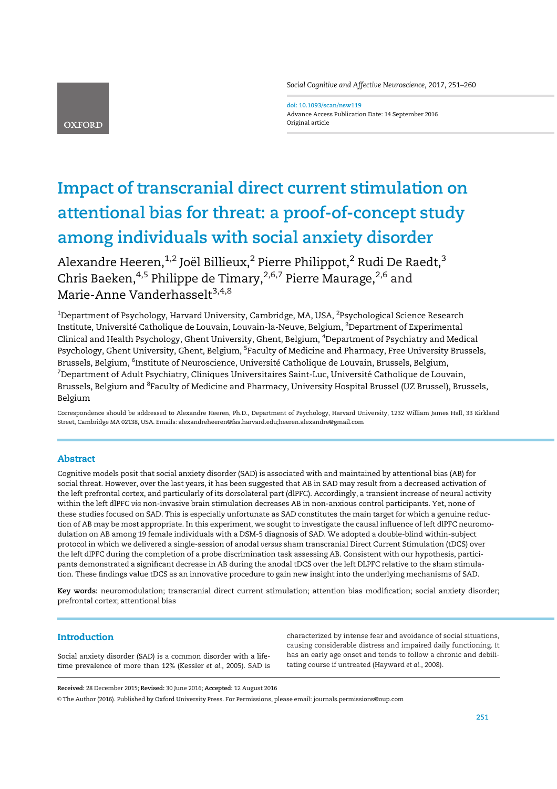Social Cognitive and Affective Neuroscience, 2017, 251–260

**OXFORD** 

doi: 10.1093/scan/nsw119 Advance Access Publication Date: 14 September 2016 Original article

# Impact of transcranial direct current stimulation on attentional bias for threat: a proof-of-concept study among individuals with social anxiety disorder

Alexandre Heeren,  $1,2$  Joël Billieux,  $2$  Pierre Philippot,  $2$  Rudi De Raedt,  $3$ Chris Baeken,<sup>4,5</sup> Philippe de Timary,<sup>2,6,7</sup> Pierre Maurage,<sup>2,6</sup> and Marie-Anne Vanderhasselt<sup>3,4,8</sup>

 $^{\rm 1}$ Department of Psychology, Harvard University, Cambridge, MA, USA,  $^{\rm 2}$ Psychological Science Research Institute, Université Catholique de Louvain, Louvain-la-Neuve, Belgium, <sup>3</sup>Department of Experimental Clinical and Health Psychology, Ghent University, Ghent, Belgium, <sup>4</sup>Department of Psychiatry and Medical Psychology, Ghent University, Ghent, Belgium, <sup>5</sup>Faculty of Medicine and Pharmacy, Free University Brussels, Brussels, Belgium, <sup>6</sup>Institute of Neuroscience, Université Catholique de Louvain, Brussels, Belgium,  $^7$ Department of Adult Psychiatry, Cliniques Universitaires Saint-Luc, Université Catholique de Louvain, Brussels, Belgium and <sup>8</sup>Faculty of Medicine and Pharmacy, University Hospital Brussel (UZ Brussel), Brussels, Belgium

Correspondence should be addressed to Alexandre Heeren, Ph.D., Department of Psychology, Harvard University, 1232 William James Hall, 33 Kirkland Street, Cambridge MA 02138, USA. Emails: alexandreheeren@fas.harvard.edu;heeren.alexandre@gmail.com

# Abstract

Cognitive models posit that social anxiety disorder (SAD) is associated with and maintained by attentional bias (AB) for social threat. However, over the last years, it has been suggested that AB in SAD may result from a decreased activation of the left prefrontal cortex, and particularly of its dorsolateral part (dlPFC). Accordingly, a transient increase of neural activity within the left dlPFC via non-invasive brain stimulation decreases AB in non-anxious control participants. Yet, none of these studies focused on SAD. This is especially unfortunate as SAD constitutes the main target for which a genuine reduction of AB may be most appropriate. In this experiment, we sought to investigate the causal influence of left dlPFC neuromodulation on AB among 19 female individuals with a DSM-5 diagnosis of SAD. We adopted a double-blind within-subject protocol in which we delivered a single-session of anodal versus sham transcranial Direct Current Stimulation (tDCS) over the left dlPFC during the completion of a probe discrimination task assessing AB. Consistent with our hypothesis, participants demonstrated a significant decrease in AB during the anodal tDCS over the left DLPFC relative to the sham stimulation. These findings value tDCS as an innovative procedure to gain new insight into the underlying mechanisms of SAD.

Key words: neuromodulation; transcranial direct current stimulation; attention bias modification; social anxiety disorder; prefrontal cortex; attentional bias

# Introduction

Social anxiety disorder (SAD) is a common disorder with a lifetime prevalence of more than 12% (Kessler et al., 2005). SAD is characterized by intense fear and avoidance of social situations, causing considerable distress and impaired daily functioning. It has an early age onset and tends to follow a chronic and debilitating course if untreated (Hayward et al., 2008).

Received: 28 December 2015; Revised: 30 June 2016; Accepted: 12 August 2016

V<sup>C</sup> The Author (2016). Published by Oxford University Press. For Permissions, please email: journals.permissions@oup.com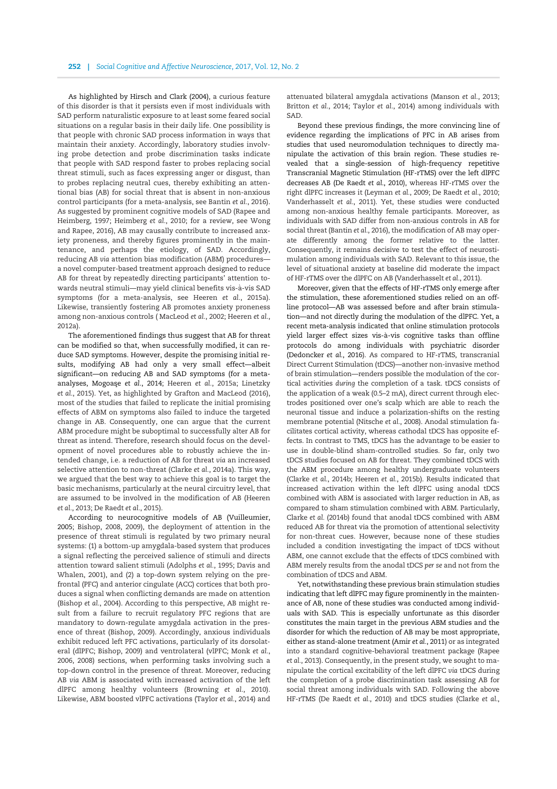As highlighted by Hirsch and Clark (2004), a curious feature of this disorder is that it persists even if most individuals with SAD perform naturalistic exposure to at least some feared social situations on a regular basis in their daily life. One possibility is that people with chronic SAD process information in ways that maintain their anxiety. Accordingly, laboratory studies involving probe detection and probe discrimination tasks indicate that people with SAD respond faster to probes replacing social threat stimuli, such as faces expressing anger or disgust, than to probes replacing neutral cues, thereby exhibiting an attentional bias (AB) for social threat that is absent in non-anxious control participants (for a meta-analysis, see Bantin et al., 2016). As suggested by prominent cognitive models of SAD (Rapee and Heimberg, 1997; Heimberg et al., 2010; for a review, see Wong and Rapee, 2016), AB may causally contribute to increased anxiety proneness, and thereby figures prominently in the maintenance, and perhaps the etiology, of SAD. Accordingly, reducing AB via attention bias modification (ABM) procedures a novel computer-based treatment approach designed to reduce AB for threat by repeatedly directing participants' attention towards neutral stimuli—may yield clinical benefits vis-à-vis SAD symptoms (for a meta-analysis, see Heeren et al., 2015a). Likewise, transiently fostering AB promotes anxiety proneness among non-anxious controls ( MacLeod et al., 2002; Heeren et al., 2012a).

The aforementioned findings thus suggest that AB for threat can be modified so that, when successfully modified, it can reduce SAD symptoms. However, despite the promising initial results, modifying AB had only a very small effect—albeit significant—on reducing AB and SAD symptoms (for a metaanalyses, Mogoase et al., 2014; Heeren et al., 2015a; Linetzky et al., 2015). Yet, as highlighted by Grafton and MacLeod (2016), most of the studies that failed to replicate the initial promising effects of ABM on symptoms also failed to induce the targeted change in AB. Consequently, one can argue that the current ABM procedure might be suboptimal to successfully alter AB for threat as intend. Therefore, research should focus on the development of novel procedures able to robustly achieve the intended change, i.e. a reduction of AB for threat via an increased selective attention to non-threat (Clarke et al., 2014a). This way, we argued that the best way to achieve this goal is to target the basic mechanisms, particularly at the neural circuitry level, that are assumed to be involved in the modification of AB (Heeren et al., 2013; De Raedt et al., 2015).

According to neurocognitive models of AB (Vuilleumier, 2005; Bishop, 2008, 2009), the deployment of attention in the presence of threat stimuli is regulated by two primary neural systems: (1) a bottom-up amygdala-based system that produces a signal reflecting the perceived salience of stimuli and directs attention toward salient stimuli (Adolphs et al., 1995; Davis and Whalen, 2001), and (2) a top-down system relying on the prefrontal (PFC) and anterior cingulate (ACC) cortices that both produces a signal when conflicting demands are made on attention (Bishop et al., 2004). According to this perspective, AB might result from a failure to recruit regulatory PFC regions that are mandatory to down-regulate amygdala activation in the presence of threat (Bishop, 2009). Accordingly, anxious individuals exhibit reduced left PFC activations, particularly of its dorsolateral (dlPFC; Bishop, 2009) and ventrolateral (vlPFC; Monk et al., 2006, 2008) sections, when performing tasks involving such a top-down control in the presence of threat. Moreover, reducing AB via ABM is associated with increased activation of the left dlPFC among healthy volunteers (Browning et al., 2010). Likewise, ABM boosted vlPFC activations (Taylor et al., 2014) and attenuated bilateral amygdala activations (Manson et al., 2013; Britton et al., 2014; Taylor et al., 2014) among individuals with SAD.

Beyond these previous findings, the more convincing line of evidence regarding the implications of PFC in AB arises from studies that used neuromodulation techniques to directly manipulate the activation of this brain region. These studies revealed that a single-session of high-frequency repetitive Transcranial Magnetic Stimulation (HF-rTMS) over the left dlPFC decreases AB (De Raedt et al., 2010), whereas HF-rTMS over the right dlPFC increases it (Leyman et al., 2009; De Raedt et al., 2010; Vanderhasselt et al., 2011). Yet, these studies were conducted among non-anxious healthy female participants. Moreover, as individuals with SAD differ from non-anxious controls in AB for social threat (Bantin et al., 2016), the modification of AB may operate differently among the former relative to the latter. Consequently, it remains decisive to test the effect of neurostimulation among individuals with SAD. Relevant to this issue, the level of situational anxiety at baseline did moderate the impact of HF-rTMS over the dlPFC on AB (Vanderhasselt et al., 2011).

Moreover, given that the effects of HF-rTMS only emerge after the stimulation, these aforementioned studies relied on an offline protocol—AB was assessed before and after brain stimulation—and not directly during the modulation of the dlPFC. Yet, a recent meta-analysis indicated that online stimulation protocols yield larger effect sizes vis-à-vis cognitive tasks than offline protocols do among individuals with psychiatric disorder (Dedoncker et al., 2016). As compared to HF-rTMS, transcranial Direct Current Stimulation (tDCS)—another non-invasive method of brain stimulation—renders possible the modulation of the cortical activities during the completion of a task. tDCS consists of the application of a weak (0.5–2 mA), direct current through electrodes positioned over one's scalp which are able to reach the neuronal tissue and induce a polarization-shifts on the resting membrane potential (Nitsche et al., 2008). Anodal stimulation facilitates cortical activity, whereas cathodal tDCS has opposite effects. In contrast to TMS, tDCS has the advantage to be easier to use in double-blind sham-controlled studies. So far, only two tDCS studies focused on AB for threat. They combined tDCS with the ABM procedure among healthy undergraduate volunteers (Clarke et al., 2014b; Heeren et al., 2015b). Results indicated that increased activation within the left dlPFC using anodal tDCS combined with ABM is associated with larger reduction in AB, as compared to sham stimulation combined with ABM. Particularly, Clarke et al. (2014b) found that anodal tDCS combined with ABM reduced AB for threat via the promotion of attentional selectivity for non-threat cues. However, because none of these studies included a condition investigating the impact of tDCS without ABM, one cannot exclude that the effects of tDCS combined with ABM merely results from the anodal tDCS per se and not from the combination of tDCS and ABM.

Yet, notwithstanding these previous brain stimulation studies indicating that left dlPFC may figure prominently in the maintenance of AB, none of these studies was conducted among individuals with SAD. This is especially unfortunate as this disorder constitutes the main target in the previous ABM studies and the disorder for which the reduction of AB may be most appropriate, either as stand-alone treatment (Amir et al., 2011) or as integrated into a standard cognitive-behavioral treatment package (Rapee et al., 2013). Consequently, in the present study, we sought to manipulate the cortical excitability of the left dlPFC via tDCS during the completion of a probe discrimination task assessing AB for social threat among individuals with SAD. Following the above HF-rTMS (De Raedt et al., 2010) and tDCS studies (Clarke et al.,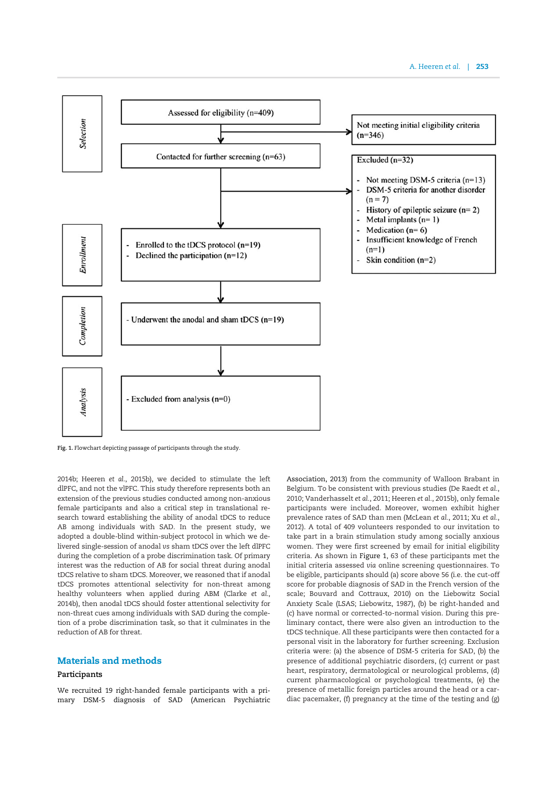

Fig. 1. Flowchart depicting passage of participants through the study.

2014b; Heeren et al., 2015b), we decided to stimulate the left dlPFC, and not the vlPFC. This study therefore represents both an extension of the previous studies conducted among non-anxious female participants and also a critical step in translational research toward establishing the ability of anodal tDCS to reduce AB among individuals with SAD. In the present study, we adopted a double-blind within-subject protocol in which we delivered single-session of anodal vs sham tDCS over the left dlPFC during the completion of a probe discrimination task. Of primary interest was the reduction of AB for social threat during anodal tDCS relative to sham tDCS. Moreover, we reasoned that if anodal tDCS promotes attentional selectivity for non-threat among healthy volunteers when applied during ABM (Clarke et al., 2014b), then anodal tDCS should foster attentional selectivity for non-threat cues among individuals with SAD during the completion of a probe discrimination task, so that it culminates in the reduction of AB for threat.

# Materials and methods

## Participants

We recruited 19 right-handed female participants with a primary DSM-5 diagnosis of SAD (American Psychiatric Association, 2013) from the community of Walloon Brabant in Belgium. To be consistent with previous studies (De Raedt et al., 2010; Vanderhasselt et al., 2011; Heeren et al., 2015b), only female participants were included. Moreover, women exhibit higher prevalence rates of SAD than men (McLean et al., 2011; Xu et al., 2012). A total of 409 volunteers responded to our invitation to take part in a brain stimulation study among socially anxious women. They were first screened by email for initial eligibility criteria. As shown in Figure 1, 63 of these participants met the initial criteria assessed via online screening questionnaires. To be eligible, participants should (a) score above 56 (i.e. the cut-off score for probable diagnosis of SAD in the French version of the scale; Bouvard and Cottraux, 2010) on the Liebowitz Social Anxiety Scale (LSAS; Liebowitz, 1987), (b) be right-handed and (c) have normal or corrected-to-normal vision. During this preliminary contact, there were also given an introduction to the tDCS technique. All these participants were then contacted for a personal visit in the laboratory for further screening. Exclusion criteria were: (a) the absence of DSM-5 criteria for SAD, (b) the presence of additional psychiatric disorders, (c) current or past heart, respiratory, dermatological or neurological problems, (d) current pharmacological or psychological treatments, (e) the presence of metallic foreign particles around the head or a cardiac pacemaker, (f) pregnancy at the time of the testing and (g)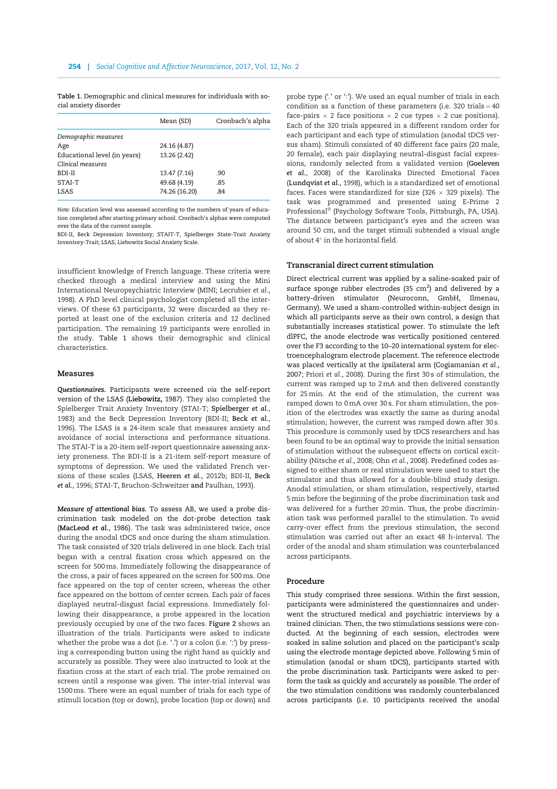Table 1. Demographic and clinical measures for individuals with social anxiety disorder

|                              | Mean (SD)     | Cronbach's alpha |
|------------------------------|---------------|------------------|
| Demographic measures         |               |                  |
| Age                          | 24.16 (4.87)  |                  |
| Educational level (in years) | 13.26 (2.42)  |                  |
| Clinical measures            |               |                  |
| BDI-II                       | 13.47 (7.16)  | .90              |
| STAI-T                       | 49.68 (4.19)  | .85              |
| LSAS                         | 74.26 (16.20) | .84              |
|                              |               |                  |

Note: Education level was assessed according to the numbers of years of education completed after starting primary school. Cronbach's alphas were computed over the data of the current sample.

BDI-II, Beck Depression Inventory; STAIT-T, Spielberger State-Trait Anxiety Inventory-Trait; LSAS, Liebowitz Social Anxiety Scale.

insufficient knowledge of French language. These criteria were checked through a medical interview and using the Mini International Neuropsychiatric Interview (MINI; Lecrubier et al., 1998). A PhD level clinical psychologist completed all the interviews. Of these 63 participants, 32 were discarded as they reported at least one of the exclusion criteria and 12 declined participation. The remaining 19 participants were enrolled in the study. Table 1 shows their demographic and clinical characteristics.

## Measures

Questionnaires. Participants were screened via the self-report version of the LSAS (Liebowitz, 1987). They also completed the Spielberger Trait Anxiety Inventory (STAI-T; Spielberger et al., 1983) and the Beck Depression Inventory (BDI-II; Beck et al., 1996). The LSAS is a 24-item scale that measures anxiety and avoidance of social interactions and performance situations. The STAI-T is a 20-item self-report questionnaire assessing anxiety proneness. The BDI-II is a 21-item self-report measure of symptoms of depression. We used the validated French versions of these scales (LSAS, Heeren et al., 2012b; BDI-II, Beck et al., 1996; STAI-T, Bruchon-Schweitzer and Paulhan, 1993).

Measure of attentional bias. To assess AB, we used a probe discrimination task modeled on the dot-probe detection task (MacLeod et al., 1986). The task was administered twice, once during the anodal tDCS and once during the sham stimulation. The task consisted of 320 trials delivered in one block. Each trial began with a central fixation cross which appeared on the screen for 500ms. Immediately following the disappearance of the cross, a pair of faces appeared on the screen for 500 ms. One face appeared on the top of center screen, whereas the other face appeared on the bottom of center screen. Each pair of faces displayed neutral-disgust facial expressions. Immediately following their disappearance, a probe appeared in the location previously occupied by one of the two faces. Figure 2 shows an illustration of the trials. Participants were asked to indicate whether the probe was a dot (i.e. '.') or a colon (i.e. ':') by pressing a corresponding button using the right hand as quickly and accurately as possible. They were also instructed to look at the fixation cross at the start of each trial. The probe remained on screen until a response was given. The inter-trial interval was 1500ms. There were an equal number of trials for each type of stimuli location (top or down), probe location (top or down) and probe type ('.' or ':'). We used an equal number of trials in each condition as a function of these parameters (i.e. 320 trials  $=$  40 face-pairs  $\times$  2 face positions  $\times$  2 cue types  $\times$  2 cue positions). Each of the 320 trials appeared in a different random order for each participant and each type of stimulation (anodal tDCS versus sham). Stimuli consisted of 40 different face pairs (20 male, 20 female), each pair displaying neutral-disgust facial expressions, randomly selected from a validated version (Goeleven et al., 2008) of the Karolinska Directed Emotional Faces (Lundqvist et al., 1998), which is a standardized set of emotional faces. Faces were standardized for size (326  $\times$  329 pixels). The task was programmed and presented using E-Prime 2 Professional® (Psychology Software Tools, Pittsburgh, PA, USA). The distance between participant's eyes and the screen was around 50 cm, and the target stimuli subtended a visual angle of about  $4^{\circ}$  in the horizontal field.

### Transcranial direct current stimulation

Direct electrical current was applied by a saline-soaked pair of surface sponge rubber electrodes (35  $\text{cm}^2$ ) and delivered by a battery-driven stimulator (Neuroconn, GmbH, Ilmenau, Germany). We used a sham-controlled within-subject design in which all participants serve as their own control, a design that substantially increases statistical power. To stimulate the left dlPFC, the anode electrode was vertically positioned centered over the F3 according to the 10–20 international system for electroencephalogram electrode placement. The reference electrode was placed vertically at the ipsilateral arm (Cogiamanian et al., 2007; Priori et al., 2008). During the first 30 s of stimulation, the current was ramped up to 2mA and then delivered constantly for 25min. At the end of the stimulation, the current was ramped down to 0mA over 30 s. For sham stimulation, the position of the electrodes was exactly the same as during anodal stimulation; however, the current was ramped down after 30 s. This procedure is commonly used by tDCS researchers and has been found to be an optimal way to provide the initial sensation of stimulation without the subsequent effects on cortical excitability (Nitsche et al., 2008; Ohn et al., 2008). Predefined codes assigned to either sham or real stimulation were used to start the stimulator and thus allowed for a double-blind study design. Anodal stimulation, or sham stimulation, respectively, started 5min before the beginning of the probe discrimination task and was delivered for a further 20min. Thus, the probe discrimination task was performed parallel to the stimulation. To avoid carry-over effect from the previous stimulation, the second stimulation was carried out after an exact 48 h-interval. The order of the anodal and sham stimulation was counterbalanced across participants.

## Procedure

This study comprised three sessions. Within the first session, participants were administered the questionnaires and underwent the structured medical and psychiatric interviews by a trained clinician. Then, the two stimulations sessions were conducted. At the beginning of each session, electrodes were soaked in saline solution and placed on the participant's scalp using the electrode montage depicted above. Following 5min of stimulation (anodal or sham tDCS), participants started with the probe discrimination task. Participants were asked to perform the task as quickly and accurately as possible. The order of the two stimulation conditions was randomly counterbalanced across participants (i.e. 10 participants received the anodal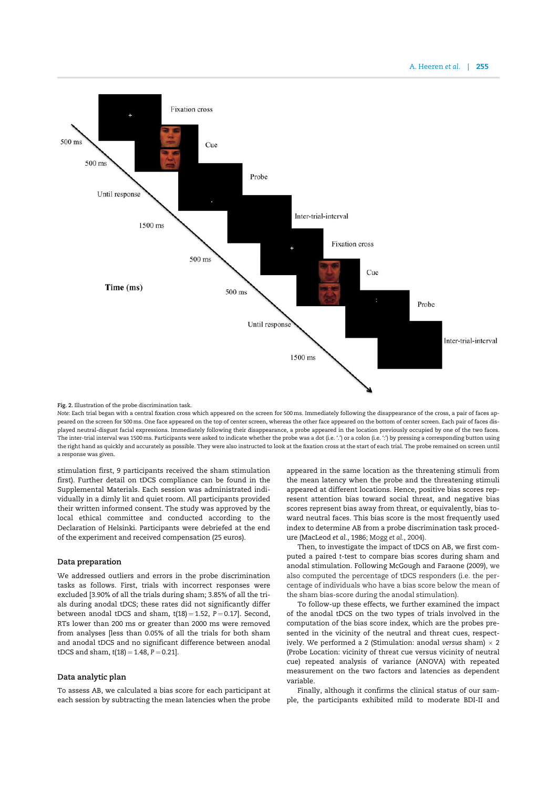

## Fig. 2. Illustration of the probe discrimination task.

Note: Each trial began with a central fixation cross which appeared on the screen for 500 ms. Immediately following the disappearance of the cross, a pair of faces appeared on the screen for 500 ms. One face appeared on the top of center screen, whereas the other face appeared on the bottom of center screen. Each pair of faces displayed neutral-disgust facial expressions. Immediately following their disappearance, a probe appeared in the location previously occupied by one of the two faces. The inter-trial interval was 1500 ms. Participants were asked to indicate whether the probe was a dot (i.e. '.') or a colon (i.e. ':') by pressing a corresponding button using the right hand as quickly and accurately as possible. They were also instructed to look at the fixation cross at the start of each trial. The probe remained on screen until a response was given.

stimulation first, 9 participants received the sham stimulation first). Further detail on tDCS compliance can be found in the Supplemental Materials. Each session was administrated individually in a dimly lit and quiet room. All participants provided their written informed consent. The study was approved by the local ethical committee and conducted according to the Declaration of Helsinki. Participants were debriefed at the end of the experiment and received compensation (25 euros).

#### Data preparation

We addressed outliers and errors in the probe discrimination tasks as follows. First, trials with incorrect responses were excluded [3.90% of all the trials during sham; 3.85% of all the trials during anodal tDCS; these rates did not significantly differ between anodal tDCS and sham,  $t(18) = 1.52$ ,  $P = 0.17$ ]. Second, RTs lower than 200 ms or greater than 2000 ms were removed from analyses [less than 0.05% of all the trials for both sham and anodal tDCS and no significant difference between anodal tDCS and sham,  $t(18) = 1.48$ ,  $P = 0.21$ ].

# Data analytic plan

To assess AB, we calculated a bias score for each participant at each session by subtracting the mean latencies when the probe appeared in the same location as the threatening stimuli from the mean latency when the probe and the threatening stimuli appeared at different locations. Hence, positive bias scores represent attention bias toward social threat, and negative bias scores represent bias away from threat, or equivalently, bias toward neutral faces. This bias score is the most frequently used index to determine AB from a probe discrimination task procedure (MacLeod et al., 1986; Mogg et al., 2004).

Then, to investigate the impact of tDCS on AB, we first computed a paired t-test to compare bias scores during sham and anodal stimulation. Following McGough and Faraone (2009), we also computed the percentage of tDCS responders (i.e. the percentage of individuals who have a bias score below the mean of the sham bias-score during the anodal stimulation).

To follow-up these effects, we further examined the impact of the anodal tDCS on the two types of trials involved in the computation of the bias score index, which are the probes presented in the vicinity of the neutral and threat cues, respectively. We performed a 2 (Stimulation: anodal versus sham)  $\times$  2 (Probe Location: vicinity of threat cue versus vicinity of neutral cue) repeated analysis of variance (ANOVA) with repeated measurement on the two factors and latencies as dependent variable.

Finally, although it confirms the clinical status of our sample, the participants exhibited mild to moderate BDI-II and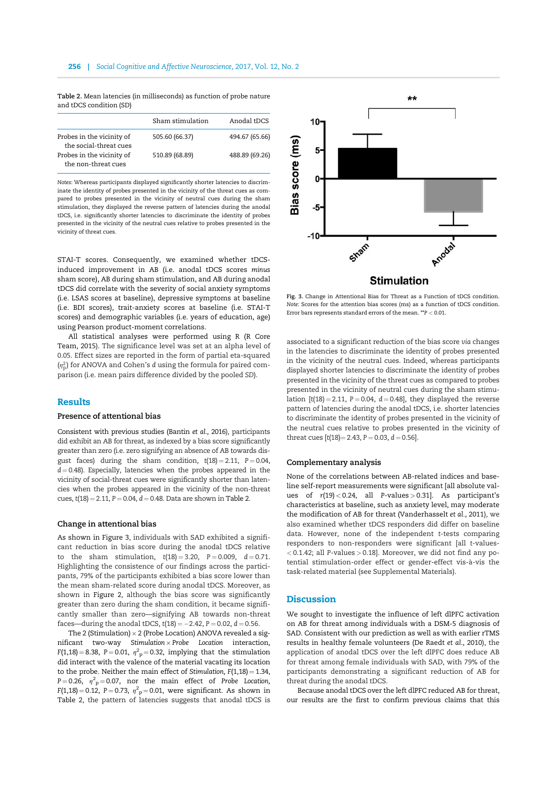Table 2. Mean latencies (in milliseconds) as function of probe nature and tDCS condition (SD)

|                                                     | Sham stimulation | Anodal tDCS    |
|-----------------------------------------------------|------------------|----------------|
| Probes in the vicinity of<br>the social-threat cues | 505.60 (66.37)   | 494.67 (65.66) |
| Probes in the vicinity of<br>the non-threat cues    | 510.89 (68.89)   | 488.89 (69.26) |

Notes: Whereas participants displayed significantly shorter latencies to discriminate the identity of probes presented in the vicinity of the threat cues as compared to probes presented in the vicinity of neutral cues during the sham stimulation, they displayed the reverse pattern of latencies during the anodal tDCS, i.e. significantly shorter latencies to discriminate the identity of probes presented in the vicinity of the neutral cues relative to probes presented in the vicinity of threat cues.

STAI-T scores. Consequently, we examined whether tDCSinduced improvement in AB (i.e. anodal tDCS scores minus sham score), AB during sham stimulation, and AB during anodal tDCS did correlate with the severity of social anxiety symptoms (i.e. LSAS scores at baseline), depressive symptoms at baseline (i.e. BDI scores), trait-anxiety scores at baseline (i.e. STAI-T scores) and demographic variables (i.e. years of education, age) using Pearson product-moment correlations.

All statistical analyses were performed using R (R Core Team, 2015). The significance level was set at an alpha level of 0.05. Effect sizes are reported in the form of partial eta-squared  $(\eta_{\rm p}^2)$  for ANOVA and Cohen's d using the formula for paired comparison (i.e. mean pairs difference divided by the pooled SD).

## Results

# Presence of attentional bias

Consistent with previous studies (Bantin et al., 2016), participants did exhibit an AB for threat, as indexed by a bias score significantly greater than zero (i.e. zero signifying an absence of AB towards disgust faces) during the sham condition,  $t(18) = 2.11$ ,  $P = 0.04$ ,  $d = 0.48$ ). Especially, latencies when the probes appeared in the vicinity of social-threat cues were significantly shorter than latencies when the probes appeared in the vicinity of the non-threat cues,  $t(18) = 2.11$ ,  $P = 0.04$ ,  $d = 0.48$ . Data are shown in Table 2.

### Change in attentional bias

As shown in Figure 3, individuals with SAD exhibited a significant reduction in bias score during the anodal tDCS relative to the sham stimulation,  $t(18) = 3.20$ ,  $P = 0.009$ ,  $d = 0.71$ . Highlighting the consistence of our findings across the participants, 79% of the participants exhibited a bias score lower than the mean sham-related score during anodal tDCS. Moreover, as shown in Figure 2, although the bias score was significantly greater than zero during the sham condition, it became significantly smaller than zero—signifying AB towards non-threat faces—during the anodal tDCS,  $t(18) = -2.42$ ,  $P = 0.02$ ,  $d = 0.56$ .

The 2 (Stimulation)  $\times$  2 (Probe Location) ANOVA revealed a sig $n$ ificant two-way Stimulation  $\times$  Probe Location interaction,  $F(1,18) = 8.38$ ,  $P = 0.01$ ,  $\eta^2 p = 0.32$ , implying that the stimulation did interact with the valence of the material vacating its location to the probe. Neither the main effect of Stimulation,  $F(1,18) = 1.34$ ,  $P = 0.26$ ,  $\eta^2 P = 0.07$ , nor the main effect of Probe Location,  $F(1,18) = 0.12$ ,  $P = 0.73$ ,  $\eta^2 p = 0.01$ , were significant. As shown in Table 2, the pattern of latencies suggests that anodal tDCS is



Fig. 3. Change in Attentional Bias for Threat as a Function of tDCS condition. Note: Scores for the attention bias scores (ms) as a function of tDCS condition. Error bars represents standard errors of the mean. \*\*P < 0.01.

associated to a significant reduction of the bias score via changes in the latencies to discriminate the identity of probes presented in the vicinity of the neutral cues. Indeed, whereas participants displayed shorter latencies to discriminate the identity of probes presented in the vicinity of the threat cues as compared to probes presented in the vicinity of neutral cues during the sham stimulation  $[t(18) = 2.11, P = 0.04, d = 0.48]$ , they displayed the reverse pattern of latencies during the anodal tDCS, i.e. shorter latencies to discriminate the identity of probes presented in the vicinity of the neutral cues relative to probes presented in the vicinity of threat cues  $[t(18) = 2.43, P = 0.03, d = 0.56]$ .

#### Complementary analysis

None of the correlations between AB-related indices and baseline self-report measurements were significant [all absolute values of r(19) < 0.24, all P-values > 0.31]. As participant's characteristics at baseline, such as anxiety level, may moderate the modification of AB for threat (Vanderhasselt et al., 2011), we also examined whether tDCS responders did differ on baseline data. However, none of the independent t-tests comparing responders to non-responders were significant [all t-values-  $<$  0.1.42; all P-values  $>$  0.18]. Moreover, we did not find any potential stimulation-order effect or gender-effect vis-à-vis the task-related material (see Supplemental Materials).

# **Discussion**

We sought to investigate the influence of left dlPFC activation on AB for threat among individuals with a DSM-5 diagnosis of SAD. Consistent with our prediction as well as with earlier rTMS results in healthy female volunteers (De Raedt et al., 2010), the application of anodal tDCS over the left dlPFC does reduce AB for threat among female individuals with SAD, with 79% of the participants demonstrating a significant reduction of AB for threat during the anodal tDCS.

Because anodal tDCS over the left dlPFC reduced AB for threat, our results are the first to confirm previous claims that this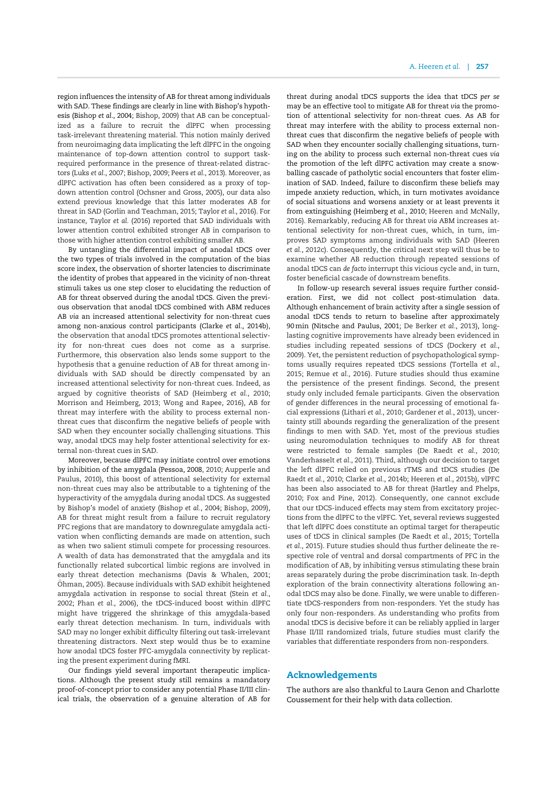region influences the intensity of AB for threat among individuals with SAD. These findings are clearly in line with Bishop's hypothesis (Bishop et al., 2004; Bishop, 2009) that AB can be conceptualized as a failure to recruit the dlPFC when processing task-irrelevant threatening material. This notion mainly derived from neuroimaging data implicating the left dlPFC in the ongoing maintenance of top-down attention control to support taskrequired performance in the presence of threat-related distractors (Luks et al., 2007; Bishop, 2009; Peers et al., 2013). Moreover, as dlPFC activation has often been considered as a proxy of topdown attention control (Ochsner and Gross, 2005), our data also extend previous knowledge that this latter moderates AB for threat in SAD (Gorlin and Teachman, 2015; Taylor et al., 2016). For instance, Taylor et al. (2016) reported that SAD individuals with lower attention control exhibited stronger AB in comparison to those with higher attention control exhibiting smaller AB.

By untangling the differential impact of anodal tDCS over the two types of trials involved in the computation of the bias score index, the observation of shorter latencies to discriminate the identity of probes that appeared in the vicinity of non-threat stimuli takes us one step closer to elucidating the reduction of AB for threat observed during the anodal tDCS. Given the previous observation that anodal tDCS combined with ABM reduces AB via an increased attentional selectivity for non-threat cues among non-anxious control participants (Clarke et al., 2014b), the observation that anodal tDCS promotes attentional selectivity for non-threat cues does not come as a surprise. Furthermore, this observation also lends some support to the hypothesis that a genuine reduction of AB for threat among individuals with SAD should be directly compensated by an increased attentional selectivity for non-threat cues. Indeed, as argued by cognitive theorists of SAD (Heimberg et al., 2010; Morrison and Heimberg, 2013; Wong and Rapee, 2016), AB for threat may interfere with the ability to process external nonthreat cues that disconfirm the negative beliefs of people with SAD when they encounter socially challenging situations. This way, anodal tDCS may help foster attentional selectivity for external non-threat cues in SAD.

Moreover, because dlPFC may initiate control over emotions by inhibition of the amygdala (Pessoa, 2008, 2010; Aupperle and Paulus, 2010), this boost of attentional selectivity for external non-threat cues may also be attributable to a tightening of the hyperactivity of the amygdala during anodal tDCS. As suggested by Bishop's model of anxiety (Bishop et al., 2004; Bishop, 2009), AB for threat might result from a failure to recruit regulatory PFC regions that are mandatory to downregulate amygdala activation when conflicting demands are made on attention, such as when two salient stimuli compete for processing resources. A wealth of data has demonstrated that the amygdala and its functionally related subcortical limbic regions are involved in early threat detection mechanisms (Davis & Whalen, 2001; Öhman, 2005). Because individuals with SAD exhibit heightened amygdala activation in response to social threat (Stein et al., 2002; Phan et al., 2006), the tDCS-induced boost within dlPFC might have triggered the shrinkage of this amygdala-based early threat detection mechanism. In turn, individuals with SAD may no longer exhibit difficulty filtering out task-irrelevant threatening distractors. Next step would thus be to examine how anodal tDCS foster PFC-amygdala connectivity by replicating the present experiment during fMRI.

Our findings yield several important therapeutic implications. Although the present study still remains a mandatory proof-of-concept prior to consider any potential Phase II/III clinical trials, the observation of a genuine alteration of AB for threat during anodal tDCS supports the idea that tDCS per se may be an effective tool to mitigate AB for threat via the promotion of attentional selectivity for non-threat cues. As AB for threat may interfere with the ability to process external nonthreat cues that disconfirm the negative beliefs of people with SAD when they encounter socially challenging situations, turning on the ability to process such external non-threat cues via the promotion of the left dlPFC activation may create a snowballing cascade of patholytic social encounters that foster elimination of SAD. Indeed, failure to disconfirm these beliefs may impede anxiety reduction, which, in turn motivates avoidance of social situations and worsens anxiety or at least prevents it from extinguishing (Heimberg et al., 2010; Heeren and McNally, 2016). Remarkably, reducing AB for threat via ABM increases attentional selectivity for non-threat cues, which, in turn, improves SAD symptoms among individuals with SAD (Heeren et al., 2012c). Consequently, the critical next step will thus be to examine whether AB reduction through repeated sessions of anodal tDCS can de facto interrupt this vicious cycle and, in turn, foster beneficial cascade of downstream benefits.

In follow-up research several issues require further consideration. First, we did not collect post-stimulation data. Although enhancement of brain activity after a single session of anodal tDCS tends to return to baseline after approximately 90min (Nitsche and Paulus, 2001; De Berker et al., 2013), longlasting cognitive improvements have already been evidenced in studies including repeated sessions of tDCS (Dockery et al., 2009). Yet, the persistent reduction of psychopathological symptoms usually requires repeated tDCS sessions (Tortella et al., 2015; Remue et al., 2016). Future studies should thus examine the persistence of the present findings. Second, the present study only included female participants. Given the observation of gender differences in the neural processing of emotional facial expressions (Lithari et al., 2010; Gardener et al., 2013), uncertainty still abounds regarding the generalization of the present findings to men with SAD. Yet, most of the previous studies using neuromodulation techniques to modify AB for threat were restricted to female samples (De Raedt et al., 2010; Vanderhasselt et al., 2011). Third, although our decision to target the left dlPFC relied on previous rTMS and tDCS studies (De Raedt et al., 2010; Clarke et al., 2014b; Heeren et al., 2015b), vlPFC has been also associated to AB for threat (Hartley and Phelps, 2010; Fox and Pine, 2012). Consequently, one cannot exclude that our tDCS-induced effects may stem from excitatory projections from the dlPFC to the vlPFC. Yet, several reviews suggested that left dlPFC does constitute an optimal target for therapeutic uses of tDCS in clinical samples (De Raedt et al., 2015; Tortella et al., 2015). Future studies should thus further delineate the respective role of ventral and dorsal compartments of PFC in the modification of AB, by inhibiting versus stimulating these brain areas separately during the probe discrimination task. In-depth exploration of the brain connectivity alterations following anodal tDCS may also be done. Finally, we were unable to differentiate tDCS-responders from non-responders. Yet the study has only four non-responders. As understanding who profits from anodal tDCS is decisive before it can be reliably applied in larger Phase II/III randomized trials, future studies must clarify the variables that differentiate responders from non-responders.

# Acknowledgements

The authors are also thankful to Laura Genon and Charlotte Coussement for their help with data collection.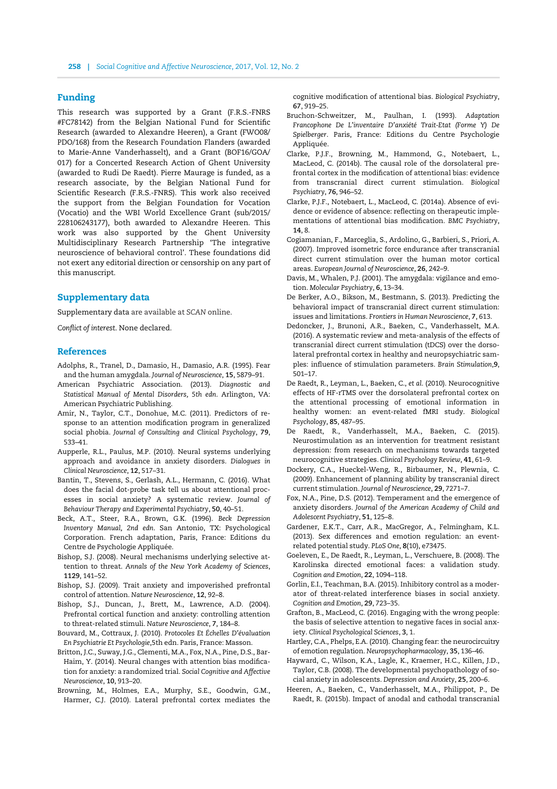# Funding

This research was supported by a Grant (F.R.S.-FNRS #FC78142) from the Belgian National Fund for Scientific Research (awarded to Alexandre Heeren), a Grant (FWO08/ PDO/168) from the Research Foundation Flanders (awarded to Marie-Anne Vanderhasselt), and a Grant (BOF16/GOA/ 017) for a Concerted Research Action of Ghent University (awarded to Rudi De Raedt). Pierre Maurage is funded, as a research associate, by the Belgian National Fund for Scientific Research (F.R.S.-FNRS). This work also received the support from the Belgian Foundation for Vocation (Vocatio) and the WBI World Excellence Grant (sub/2015/ 228106243177), both awarded to Alexandre Heeren. This work was also supported by the Ghent University Multidisciplinary Research Partnership 'The integrative neuroscience of behavioral control'. These foundations did not exert any editorial direction or censorship on any part of this manuscript.

# Supplementary data

Supplementary data are available at SCAN online.

Conflict of interest. None declared.

## **References**

- Adolphs, R., Tranel, D., Damasio, H., Damasio, A.R. (1995). Fear and the human amygdala. Journal of Neuroscience, 15, 5879–91.
- American Psychiatric Association. (2013). Diagnostic and Statistical Manual of Mental Disorders, 5th edn. Arlington, VA: American Psychiatric Publishing.
- Amir, N., Taylor, C.T., Donohue, M.C. (2011). Predictors of response to an attention modification program in generalized social phobia. Journal of Consulting and Clinical Psychology, 79, 533–41.
- Aupperle, R.L., Paulus, M.P. (2010). Neural systems underlying approach and avoidance in anxiety disorders. Dialogues in Clinical Neuroscience, 12, 517–31.
- Bantin, T., Stevens, S., Gerlash, A.L., Hermann, C. (2016). What does the facial dot-probe task tell us about attentional processes in social anxiety? A systematic review. Journal of Behaviour Therapy and Experimental Psychiatry, 50, 40–51.
- Beck, A.T., Steer, R.A., Brown, G.K. (1996). Beck Depression Inventory Manual, 2nd edn. San Antonio, TX: Psychological Corporation. French adaptation, Paris, France: Editions du Centre de Psychologie Appliquée.
- Bishop, S.J. (2008). Neural mechanisms underlying selective attention to threat. Annals of the New York Academy of Sciences, 1129, 141–52.
- Bishop, S.J. (2009). Trait anxiety and impoverished prefrontal control of attention. Nature Neuroscience, 12, 92–8.
- Bishop, S.J., Duncan, J., Brett, M., Lawrence, A.D. (2004). Prefrontal cortical function and anxiety: controlling attention to threat-related stimuli. Nature Neuroscience, 7, 184–8.
- Bouvard, M., Cottraux, J. (2010). Protocoles Et Échelles D'évaluation En Psychiatrie Et Psychologie,5th edn. Paris, France: Masson.
- Britton, J.C., Suway, J.G., Clementi, M.A., Fox, N.A., Pine, D.S., Bar-Haim, Y. (2014). Neural changes with attention bias modification for anxiety: a randomized trial. Social Cognitive and Affective Neuroscience, 10, 913–20.
- Browning, M., Holmes, E.A., Murphy, S.E., Goodwin, G.M., Harmer, C.J. (2010). Lateral prefrontal cortex mediates the

cognitive modification of attentional bias. Biological Psychiatry, 67, 919–25.

- Bruchon-Schweitzer, M., Paulhan, I. (1993). Adaptation Francophone De L'inventaire D'anxiété Trait-Etat (Forme Y) De Spielberger. Paris, France: Editions du Centre Psychologie Appliquée.
- Clarke, P.J.F., Browning, M., Hammond, G., Notebaert, L., MacLeod, C. (2014b). The causal role of the dorsolateral prefrontal cortex in the modification of attentional bias: evidence from transcranial direct current stimulation. Biological Psychiatry, 76, 946–52.
- Clarke, P.J.F., Notebaert, L., MacLeod, C. (2014a). Absence of evidence or evidence of absence: reflecting on therapeutic implementations of attentional bias modification. BMC Psychiatry, 14, 8.
- Cogiamanian, F., Marceglia, S., Ardolino, G., Barbieri, S., Priori, A. (2007). Improved isometric force endurance after transcranial direct current stimulation over the human motor cortical areas. European Journal of Neuroscience, 26, 242–9.
- Davis, M., Whalen, P.J. (2001). The amygdala: vigilance and emotion. Molecular Psychiatry, 6, 13–34.
- De Berker, A.O., Bikson, M., Bestmann, S. (2013). Predicting the behavioral impact of transcranial direct current stimulation: issues and limitations. Frontiers in Human Neuroscience, 7, 613.
- Dedoncker, J., Brunoni, A.R., Baeken, C., Vanderhasselt, M.A. (2016). A systematic review and meta-analysis of the effects of transcranial direct current stimulation (tDCS) over the dorsolateral prefrontal cortex in healthy and neuropsychiatric samples: influence of stimulation parameters. Brain Stimulation,9, 501–17.
- De Raedt, R., Leyman, L., Baeken, C., et al. (2010). Neurocognitive effects of HF-rTMS over the dorsolateral prefrontal cortex on the attentional processing of emotional information in healthy women: an event-related fMRI study. Biological Psychology, 85, 487–95.
- De Raedt, R., Vanderhasselt, M.A., Baeken, C. (2015). Neurostimulation as an intervention for treatment resistant depression: from research on mechanisms towards targeted neurocognitive strategies. Clinical Psychology Review, 41, 61–9.
- Dockery, C.A., Hueckel-Weng, R., Birbaumer, N., Plewnia, C. (2009). Enhancement of planning ability by transcranial direct current stimulation. Journal of Neuroscience, 29, 7271–7.
- Fox, N.A., Pine, D.S. (2012). Temperament and the emergence of anxiety disorders. Journal of the American Academy of Child and Adolescent Psychiatry, 51, 125–8.
- Gardener, E.K.T., Carr, A.R., MacGregor, A., Felmingham, K.L. (2013). Sex differences and emotion regulation: an eventrelated potential study. PLoS One, 8(10), e73475.
- Goeleven, E., De Raedt, R., Leyman, L., Verschuere, B. (2008). The Karolinska directed emotional faces: a validation study. Cognition and Emotion, 22, 1094–118.
- Gorlin, E.I., Teachman, B.A. (2015). Inhibitory control as a moderator of threat-related interference biases in social anxiety. Cognition and Emotion, 29, 723–35.
- Grafton, B., MacLeod, C. (2016). Engaging with the wrong people: the basis of selective attention to negative faces in social anxiety. Clinical Psychological Sciences, 3, 1.
- Hartley, C.A., Phelps, E.A. (2010). Changing fear: the neurocircuitry of emotion regulation. Neuropsychopharmacology, 35, 136–46.
- Hayward, C., Wilson, K.A., Lagle, K., Kraemer, H.C., Killen, J.D., Taylor, C.B. (2008). The developmental psychopathology of social anxiety in adolescents. Depression and Anxiety, 25, 200–6.
- Heeren, A., Baeken, C., Vanderhasselt, M.A., Philippot, P., De Raedt, R. (2015b). Impact of anodal and cathodal transcranial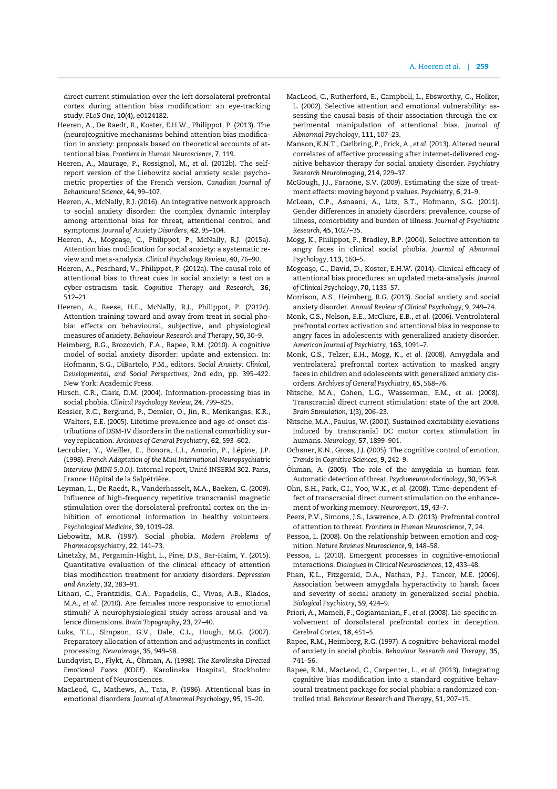direct current stimulation over the left dorsolateral prefrontal cortex during attention bias modification: an eye-tracking study. PLoS One, 10(4), e0124182.

- Heeren, A., De Raedt, R., Koster, E.H.W., Philippot, P. (2013). The (neuro)cognitive mechanisms behind attention bias modification in anxiety: proposals based on theoretical accounts of attentional bias. Frontiers in Human Neuroscience, 7, 119.
- Heeren, A., Maurage, P., Rossignol, M., et al. (2012b). The selfreport version of the Liebowitz social anxiety scale: psychometric properties of the French version. Canadian Journal of Behavioural Science, 44, 99–107.
- Heeren, A., McNally, R.J. (2016). An integrative network approach to social anxiety disorder: the complex dynamic interplay among attentional bias for threat, attentional control, and symptoms. Journal of Anxiety Disorders, 42, 95–104.
- Heeren, A., Mogoase, C., Philippot, P., McNally, R.J. (2015a). Attention bias modification for social anxiety: a systematic review and meta-analysis. Clinical Psychology Review, 40, 76–90.
- Heeren, A., Peschard, V., Philippot, P. (2012a). The causal role of attentional bias to threat cues in social anxiety: a test on a cyber-ostracism task. Cognitive Therapy and Research, 36, 512–21.
- Heeren, A., Reese, H.E., McNally, R.J., Philippot, P. (2012c). Attention training toward and away from treat in social phobia: effects on behavioural, subjective, and physiological measures of anxiety. Behaviour Research and Therapy, 50, 30–9.
- Heimberg, R.G., Brozovich, F.A., Rapee, R.M. (2010). A cognitive model of social anxiety disorder: update and extension. In: Hofmann, S.G., DiBartolo, P.M., editors. Social Anxiety: Clinical, Developmental, and Social Perspectives, 2nd edn, pp. 395–422. New York: Academic Press.
- Hirsch, C.R., Clark, D.M. (2004). Information-processing bias in social phobia. Clinical Psychology Review, 24, 799–825.
- Kessler, R.C., Berglund, P., Demler, O., Jin, R., Merikangas, K.R., Walters, E.E. (2005). Lifetime prevalence and age-of-onset distributions of DSM-IV disorders in the national comorbidity survey replication. Archives of General Psychiatry, 62, 593–602.
- Lecrubier, Y., Weiller, E., Bonora, L.I., Amorin, P., Lépine, J.P. (1998). French Adaptation of the Mini International Neuropsychiatric Interview (MINI 5.0.0.). Internal report, Unité INSERM 302. Paris, France: Hôpital de la Salpétrière.
- Leyman, L., De Raedt, R., Vanderhasselt, M.A., Baeken, C. (2009). Influence of high-frequency repetitive transcranial magnetic stimulation over the dorsolateral prefrontal cortex on the inhibition of emotional information in healthy volunteers. Psychological Medicine, 39, 1019–28.
- Liebowitz, M.R. (1987). Social phobia. Modern Problems of Pharmacopsychiatry, 22, 141–73.
- Linetzky, M., Pergamin-Hight, L., Pine, D.S., Bar-Haim, Y. (2015). Quantitative evaluation of the clinical efficacy of attention bias modification treatment for anxiety disorders. Depression and Anxiety, 32, 383–91.
- Lithari, C., Frantzidis, C.A., Papadelis, C., Vivas, A.B., Klados, M.A., et al. (2010). Are females more responsive to emotional stimuli? A neurophysiological study across arousal and valence dimensions. Brain Topography, 23, 27–40.
- Luks, T.L., Simpson, G.V., Dale, C.L., Hough, M.G. (2007). Preparatory allocation of attention and adjustments in conflict processing. Neuroimage, 35, 949–58.
- Lundqvist, D., Flykt, A., Öhman, A. (1998). The Karolinska Directed Emotional Faces (KDEF). Karolinska Hospital, Stockholm: Department of Neurosciences.
- MacLeod, C., Mathews, A., Tata, P. (1986). Attentional bias in emotional disorders. Journal of Abnormal Psychology, 95, 15–20.
- MacLeod, C., Rutherford, E., Campbell, L., Ebsworthy, G., Holker, L. (2002). Selective attention and emotional vulnerability: assessing the causal basis of their association through the experimental manipulation of attentional bias. Journal of Abnormal Psychology, 111, 107–23.
- Manson, K.N.T., Carlbring, P., Frick, A., et al. (2013). Altered neural correlates of affective processing after internet-delivered cognitive behavior therapy for social anxiety disorder. Psychiatry Research Neuroimaging, 214, 229–37.
- McGough, J.J., Faraone, S.V. (2009). Estimating the size of treatment effects: moving beyond p values. Psychiatry, 6, 21–9.
- McLean, C.P., Asnaani, A., Litz, B.T., Hofmann, S.G. (2011). Gender differences in anxiety disorders: prevalence, course of illness, comorbidity and burden of illness. Journal of Psychiatric Research, 45, 1027–35.
- Mogg, K., Philippot, P., Bradley, B.P. (2004). Selective attention to angry faces in clinical social phobia. Journal of Abnormal Psychology, 113, 160–5.
- Mogoase, C., David, D., Koster, E.H.W. (2014). Clinical efficacy of attentional bias procedures: an updated meta-analysis. Journal of Clinical Psychology, 70, 1133–57.
- Morrison, A.S., Heimberg, R.G. (2013). Social anxiety and social anxiety disorder. Annual Review of Clinical Psychology, 9, 249–74.
- Monk, C.S., Nelson, E.E., McClure, E.B., et al. (2006). Ventrolateral prefrontal cortex activation and attentional bias in response to angry faces in adolescents with generalized anxiety disorder. American Journal of Psychiatry, 163, 1091–7.
- Monk, C.S., Telzer, E.H., Mogg, K., et al. (2008). Amygdala and ventrolateral prefrontal cortex activation to masked angry faces in children and adolescents with generalized anxiety disorders. Archives of General Psychiatry, 65, 568–76.
- Nitsche, M.A., Cohen, L.G., Wasserman, E.M., et al. (2008). Transcranial direct current stimulation: state of the art 2008. Brain Stimulation, 1(3), 206–23.
- Nitsche, M.A., Paulus, W. (2001). Sustained excitability elevations induced by transcranial DC motor cortex stimulation in humans. Neurology, 57, 1899–901.
- Ochsner, K.N., Gross, J.J. (2005). The cognitive control of emotion. Trends in Cognitive Sciences, 9, 242–9.
- Öhman, A. (2005). The role of the amygdala in human fear. Automatic detection of threat. Psychoneuroendocrinology, 30, 953–8.
- Ohn, S.H., Park, C.I., Yoo, W.K., et al. (2008). Time-dependent effect of transcranial direct current stimulation on the enhancement of working memory. Neuroreport, 19, 43–7.
- Peers, P.V., Simons, J.S., Lawrence, A.D. (2013). Prefrontal control of attention to threat. Frontiers in Human Neuroscience, 7, 24.
- Pessoa, L. (2008). On the relationship between emotion and cognition. Nature Reviews Neuroscience, 9, 148–58.
- Pessoa, L. (2010). Emergent processes in cognitive-emotional interactions. Dialogues in Clinical Neurosciences, 12, 433–48.
- Phan, K.L., Fitzgerald, D.A., Nathan, P.J., Tancer, M.E. (2006). Association between amygdala hyperactivity to harsh faces and severity of social anxiety in generalized social phobia. Biological Psychiatry, 59, 424–9.
- Priori, A., Mameli, F., Cogiamanian, F., et al. (2008). Lie-specific involvement of dorsolateral prefrontal cortex in deception. Cerebral Cortex, 18, 451–5.
- Rapee, R.M., Heimberg, R.G. (1997). A cognitive-behavioral model of anxiety in social phobia. Behaviour Research and Therapy, 35, 741–56.
- Rapee, R.M., MacLeod, C., Carpenter, L., et al. (2013). Integrating cognitive bias modification into a standard cognitive behavioural treatment package for social phobia: a randomized controlled trial. Behaviour Research and Therapy, 51, 207–15.